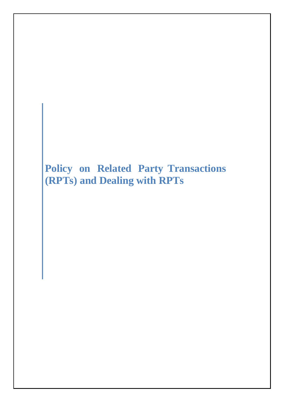**Policy on Related Party Transactions (RPTs) and Dealing with RPTs**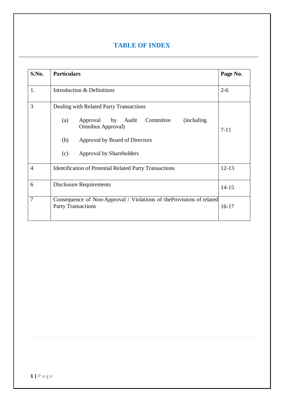# **TABLE OF INDEX**

| S.No.          | <b>Particulars</b>                                                                                                                                                                                             | Page No.  |
|----------------|----------------------------------------------------------------------------------------------------------------------------------------------------------------------------------------------------------------|-----------|
| 1.             | Introduction & Definitions                                                                                                                                                                                     | $2 - 6$   |
| 3              | Dealing with Related Party Transactions<br>Committee<br>(including)<br>by<br>(a)<br>Approval<br>Audit<br><b>Omnibus Approval</b> )<br>(b)<br>Approval by Board of Directors<br>Approval by Shareholders<br>(c) | $7 - 11$  |
| $\overline{4}$ | <b>Identification of Potential Related Party Transactions</b>                                                                                                                                                  | $12 - 13$ |
| 6              | <b>Disclosure Requirements</b>                                                                                                                                                                                 | $14 - 15$ |
| $\overline{7}$ | Consequence of Non-Approval / Violations of the Provisions of related<br><b>Party Transactions</b>                                                                                                             | $16-17$   |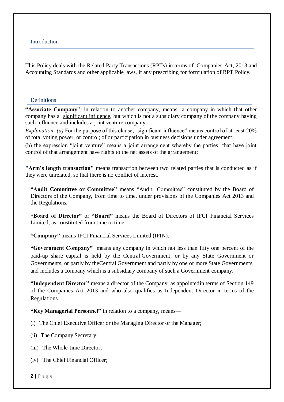#### **Introduction**

This Policy deals with the Related Party Transactions (RPTs) in terms of Companies Act, 2013 and Accounting Standards and other applicable laws, if any prescribing for formulation of RPT Policy.

#### Definitions

**"Associate Company**", in relation to another company, means a company in which that other company has a significant influence, but which is not a subsidiary company of the company having such influence and includes a joint venture company.

*Explanation-* (a) For the purpose of this clause, "significant influence" means control of at least 20% of total voting power, or control; of or participation in business decisions under agreement;

(b) the expression "joint venture" means a joint arrangement whereby the parties that have joint control of that arrangement have rights to the net assets of the arrangement;

**"Arm's length transaction"** means transaction between two related parties that is conducted as if they were unrelated, so that there is no conflict of interest.

**"Audit Committee or Committee"** means "Audit Committee" constituted by the Board of Directors of the Company, from time to time, under provisions of the Companies Act 2013 and the Regulations.

**"Board of Director"** or **"Board"** means the Board of Directors of IFCI Financial Services Limited, as constituted from time to time.

**"Company"** means IFCI Financial Services Limited (IFIN).

**"Government Company"** means any company in which not less than fifty one percent of the paid-up share capital is held by the Central Government, or by any State Government or Governments, or partly by theCentral Government and partly by one or more State Governments, and includes a company which is a subsidiary company of such a Government company.

**"Independent Director"** means a director of the Company, as appointedin terms of Section 149 of the Companies Act 2013 and who also qualifies as Independent Director in terms of the Regulations.

**"Key Managerial Personnel"** in relation to a company, means—

(i) The Chief Executive Officer or the Managing Director or the Manager;

(ii) The Company Secretary;

(iii) The Whole-time Director;

(iv) The Chief Financial Officer;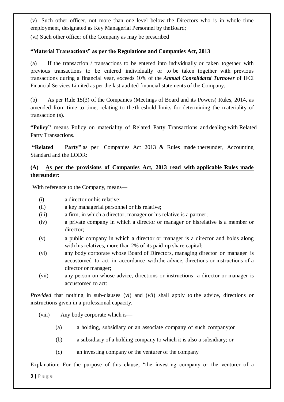(v) Such other officer, not more than one level below the Directors who is in whole time employment, designated as Key Managerial Personnel by theBoard;

(vi) Such other officer of the Company as may be prescribed

## **"Material Transactions" as per the Regulations and Companies Act, 2013**

(a) If the transaction / transactions to be entered into individually or taken together with previous transactions to be entered individually or to be taken together with previous transactions during a financial year, exceeds 10% of the *Annual Consolidated Turnover* of IFCI Financial Services Limited as per the last audited financial statements of the Company.

(b) As per Rule 15(3) of the Companies (Meetings of Board and its Powers) Rules, 2014, as amended from time to time, relating to the threshold limits for determining the materiality of transaction (s).

**"Policy"** means Policy on materiality of Related Party Transactions and dealing with Related Party Transactions.

**"Related Party"** as per Companies Act 2013 & Rules made thereunder, Accounting Standard and the LODR:

## **(A) As per the provisions of Companies Act, 2013 read with applicable Rules made thereunder:**

With reference to the Company, means—

- (i) a director or his relative;
- (ii) a key managerial personnel or his relative;
- (iii) a firm, in which a director, manager or his relative is a partner;
- (iv) a private company in which a director or manager or hisrelative is a member or director;
- (v) a public company in which a director or manager is a director and holds along with his relatives, more than 2% of its paid-up share capital;
- (vi) any body corporate whose Board of Directors, managing director or manager is accustomed to act in accordance withthe advice, directions or instructions of a director or manager;
- (vii) any person on whose advice, directions or instructions a director or manager is accustomed to act:

*Provided* that nothing in sub-clauses (*vi*) and (*vii*) shall apply to the advice, directions or instructions given in a professional capacity.

(viii) Any body corporate which is—

- (a) a holding, subsidiary or an associate company of such company;or
- (b) a subsidiary of a holding company to which it is also a subsidiary; or
- (c) an investing company or the venturer of the company

Explanation: For the purpose of this clause, "the investing company or the venturer of a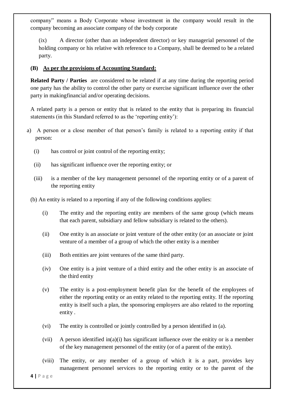company" means a Body Corporate whose investment in the company would result in the company becoming an associate company of the body corporate

(ix) A director (other than an independent director) or key managerial personnel of the holding company or his relative with reference to a Company, shall be deemed to be a related party.

## **(B) As per the provisions of Accounting Standard:**

**Related Party / Parties** are considered to be related if at any time during the reporting period one party has the ability to control the other party or exercise significant influence over the other party in makingfinancial and/or operating decisions.

A related party is a person or entity that is related to the entity that is preparing its financial statements (in this Standard referred to as the 'reporting entity'):

- a) A person or a close member of that person's family is related to a reporting entity if that person:
	- (i) has control or joint control of the reporting entity;
	- (ii) has significant influence over the reporting entity; or
	- (iii) is a member of the key management personnel of the reporting entity or of a parent of the reporting entity

(b) An entity is related to a reporting if any of the following conditions applies:

- (i) The entity and the reporting entity are members of the same group (which means that each parent, subsidiary and fellow subsidiary is related to the others).
- (ii) One entity is an associate or joint venture of the other entity (or an associate or joint venture of a member of a group of which the other entity is a member
- (iii) Both entities are joint ventures of the same third party.
- (iv) One entity is a joint venture of a third entity and the other entity is an associate of the third entity
- (v) The entity is a post-employment benefit plan for the benefit of the employees of either the reporting entity or an entity related to the reporting entity. If the reporting entity is itself such a plan, the sponsoring employers are also related to the reporting entity .
- (vi) The entity is controlled or jointly controlled by a person identified in (a).
- (vii) A person identified  $in(a)(i)$  has significant influence over the enitity or is a member of the key management personnel of the entity (or of a parent of the entity).
- (viii) The entity, or any member of a group of which it is a part, provides key management personnel services to the reporting entity or to the parent of the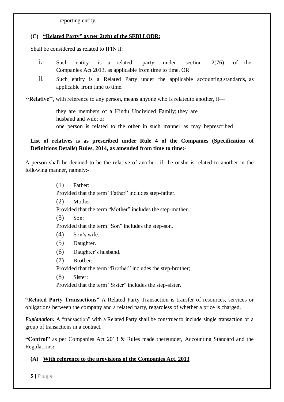reporting entity.

## **(C) "Related Party" as per 2(zb) of the SEBI LODR:**

Shall be considered as related to IFIN if:

- i. Such entity is a related party under section 2(76) of the Companies Act 2013, as applicable from time to time. OR
- ii. Such entity is a Related Party under the applicable accounting standards, as applicable from time to time.

**''Relative''**, with reference to any person, means anyone who is relatedto another, if—

they are members of a Hindu Undivided Family; they are husband and wife; or one person is related to the other in such manner as may beprescribed

## **List of relatives is as prescribed under Rule 4 of the Companies (Specification of Definitions Details) Rules, 2014, as amended from time to time:-**

A person shall be deemed to be the relative of another, if he orshe is related to another in the following manner, namely:-

(1) Father:

Provided that the term "Father" includes step-father.

(2) Mother:

Provided that the term "Mother" includes the step-mother.

(3) Son:

Provided that the term "Son" includes the step-son.

- (4) Son's wife.
- (5) Daughter.
- (6) Daughter's husband.
- (7) Brother:

Provided that the term "Brother" includes the step-brother;

(8) Sister:

Provided that the term "Sister" includes the step-sister.

**"Related Party Transactions"** A Related Party Transaction is transfer of resources, services or obligations between the company and a related party, regardless of whether a price is charged.

*Explanation:* A "transaction" with a Related Party shall be construed to include single transaction or a group of transactions in a contract.

**"Control"** as per Companies Act 2013 & Rules made thereunder, Accounting Standard and the Regulations**:**

## **(A) With reference to the provisions of the Companies Act, 2013**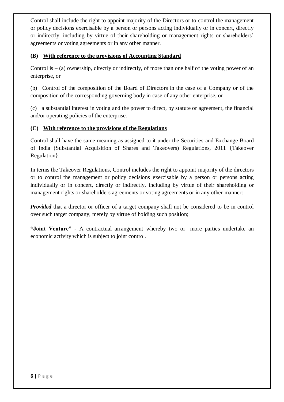Control shall include the right to appoint majority of the Directors or to control the management or policy decisions exercisable by a person or persons acting individually or in concert, directly or indirectly, including by virtue of their shareholding or management rights or shareholders' agreements or voting agreements or in any other manner.

## **(B) With reference to the provisions of Accounting Standard**

Control is  $-$  (a) ownership, directly or indirectly, of more than one half of the voting power of an enterprise, or

(b) Control of the composition of the Board of Directors in the case of a Company or of the composition of the corresponding governing body in case of any other enterprise, or

(c) a substantial interest in voting and the power to direct, by statute or agreement, the financial and/or operating policies of the enterprise.

## **(C) With reference to the provisions of the Regulations**

Control shall have the same meaning as assigned to it under the Securities and Exchange Board of India (Substantial Acquisition of Shares and Takeovers) Regulations, 2011 {Takeover Regulation}.

In terms the Takeover Regulations, Control includes the right to appoint majority of the directors or to control the management or policy decisions exercisable by a person or persons acting individually or in concert, directly or indirectly, including by virtue of their shareholding or management rights or shareholders agreements or voting agreements or in any other manner:

*Provided* that a director or officer of a target company shall not be considered to be in control over such target company, merely by virtue of holding such position;

**"Joint Venture"** - A contractual arrangement whereby two or more parties undertake an economic activity which is subject to joint control.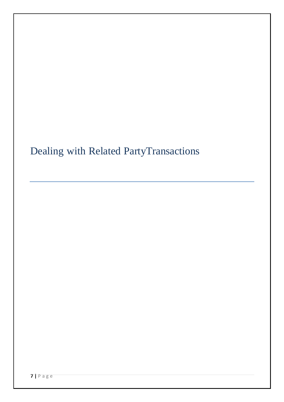# Dealing with Related PartyTransactions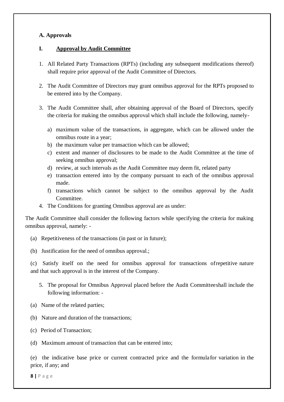## **A. Approvals**

## **I. Approval by Audit Committee**

- 1. All Related Party Transactions (RPTs) (including any subsequent modifications thereof) shall require prior approval of the Audit Committee of Directors.
- 2. The Audit Committee of Directors may grant omnibus approval for the RPTs proposed to be entered into by the Company.
- 3. The Audit Committee shall, after obtaining approval of the Board of Directors, specify the criteria for making the omnibus approval which shall include the following, namely
	- a) maximum value of the transactions, in aggregate, which can be allowed under the omnibus route in a year;
	- b) the maximum value per transaction which can be allowed;
	- c) extent and manner of disclosures to be made to the Audit Committee at the time of seeking omnibus approval;
	- d) review, at such intervals as the Audit Committee may deem fit, related party
	- e) transaction entered into by the company pursuant to each of the omnibus approval made.
	- f) transactions which cannot be subject to the omnibus approval by the Audit Committee.
- 4. The Conditions for granting Omnibus approval are as under:

The Audit Committee shall consider the following factors while specifying the criteria for making omnibus approval, namely: -

(a) Repetitiveness of the transactions (in past or in future);

(b) Justification for the need of omnibus approval.;

(c) Satisfy itself on the need for omnibus approval for transactions ofrepetitive nature and that such approval is in the interest of the Company.

- 5. The proposal for Omnibus Approval placed before the Audit Committee shall include the following information: -
- (a) Name of the related parties;
- (b) Nature and duration of the transactions;
- (c) Period of Transaction;

(d) Maximum amount of transaction that can be entered into;

(e) the indicative base price or current contracted price and the formulafor variation in the price, if any; and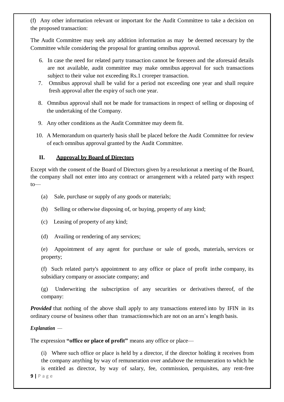(f) Any other information relevant or important for the Audit Committee to take a decision on the proposed transaction:

The Audit Committee may seek any addition information as may be deemed necessary by the Committee while considering the proposal for granting omnibus approval.

- 6. In case the need for related party transaction cannot be foreseen and the aforesaid details are not available, audit committee may make omnibus approval for such transactions subject to their value not exceeding Rs.1 croreper transaction.
- 7. Omnibus approval shall be valid for a period not exceeding one year and shall require fresh approval after the expiry of such one year.
- 8. Omnibus approval shall not be made for transactions in respect of selling or disposing of the undertaking of the Company.
- 9. Any other conditions as the Audit Committee may deem fit.
- 10. A Memorandum on quarterly basis shall be placed before the Audit Committee for review of each omnibus approval granted by the Audit Committee.

## **II. Approval by Board of Directors**

Except with the consent of the Board of Directors given by a resolutionat a meeting of the Board, the company shall not enter into any contract or arrangement with a related party with respect to—

- (a) Sale, purchase or supply of any goods or materials;
- (b) Selling or otherwise disposing of, or buying, property of any kind;
- (c) Leasing of property of any kind;
- (d) Availing or rendering of any services;

(e) Appointment of any agent for purchase or sale of goods, materials, services or property;

(f) Such related party's appointment to any office or place of profit inthe company, its subsidiary company or associate company; and

(g) Underwriting the subscription of any securities or derivatives thereof, of the company:

*Provided* that nothing of the above shall apply to any transactions entered into by IFIN in its ordinary course of business other than transactionswhich are not on an arm's length basis.

## *Explanation* —

The expression **"office or place of profit"** means any office or place—

(i) Where such office or place is held by a director, if the director holding it receives from the company anything by way of remuneration over andabove the remuneration to which he is entitled as director, by way of salary, fee, commission, perquisites, any rent-free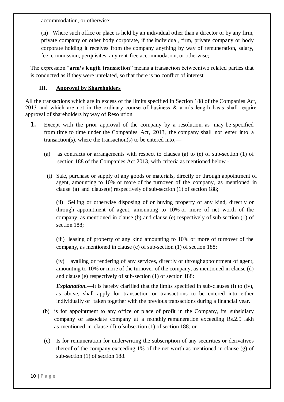accommodation, or otherwise;

(ii) Where such office or place is held by an individual other than a director or by any firm, private company or other body corporate, if the individual, firm, private company or body corporate holding it receives from the company anything by way of remuneration, salary, fee, commission, perquisites, any rent-free accommodation, or otherwise;

The expression "**arm's length transaction**" means a transaction betweentwo related parties that is conducted as if they were unrelated, so that there is no conflict of interest.

## **III. Approval by Shareholders**

All the transactions which are in excess of the limits specified in Section 188 of the Companies Act, 2013 and which are not in the ordinary course of business & arm's length basis shall require approval of shareholders by way of Resolution.

- 1. Except with the prior approval of the company by a resolution, as may be specified from time to time under the Companies Act, 2013, the company shall not enter into a transaction(s), where the transaction(s) to be entered into,—
	- (a) as contracts or arrangements with respect to clauses (a) to (e) of sub-section (1) of section 188 of the Companies Act 2013, with criteria as mentioned below -
		- (i) Sale, purchase or supply of any goods or materials, directly or through appointment of agent, amounting to 10% or more of the turnover of the company, as mentioned in clause (a) and clause(e) respectively of sub-section (1) of section 188;

(ii) Selling or otherwise disposing of or buying property of any kind, directly or through appointment of agent, amounting to 10% or more of net worth of the company, as mentioned in clause (b) and clause (e) respectively of sub-section (1) of section 188;

(iii) leasing of property of any kind amounting to 10% or more of turnover of the company, as mentioned in clause (c) of sub-section (1) of section 188;

(iv) availing or rendering of any services, directly or throughappointment of agent, amounting to 10% or more of the turnover of the company, as mentioned in clause (d) and clause (e) respectively of sub-section (1) of section 188:

*Explanation.*—It is hereby clarified that the limits specified in sub-clauses (i) to (iv), as above, shall apply for transaction or transactions to be entered into either individually or taken together with the previous transactions during a financial year.

- (b) is for appointment to any office or place of profit in the Company, its subsidiary company or associate company at a monthly remuneration exceeding Rs.2.5 lakh as mentioned in clause (f) ofsubsection (1) of section 188; or
- (c) Is for remuneration for underwriting the subscription of any securities or derivatives thereof of the company exceeding 1% of the net worth as mentioned in clause (g) of sub-section (1) of section 188.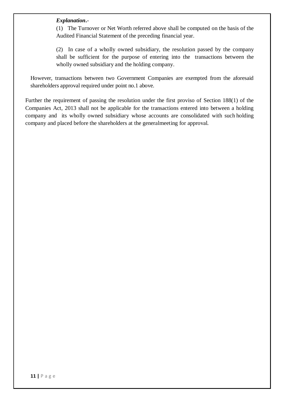#### *Explanation***.**-

(1) The Turnover or Net Worth referred above shall be computed on the basis of the Audited Financial Statement of the preceding financial year.

(2) In case of a wholly owned subsidiary, the resolution passed by the company shall be sufficient for the purpose of entering into the transactions between the wholly owned subsidiary and the holding company.

However, transactions between two Government Companies are exempted from the aforesaid shareholders approval required under point no.1 above.

Further the requirement of passing the resolution under the first proviso of Section 188(1) of the Companies Act, 2013 shall not be applicable for the transactions entered into between a holding company and its wholly owned subsidiary whose accounts are consolidated with such holding company and placed before the shareholders at the generalmeeting for approval.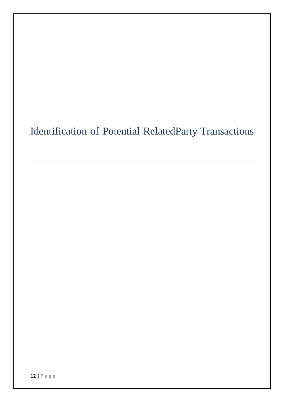# Identification of Potential RelatedParty Transactions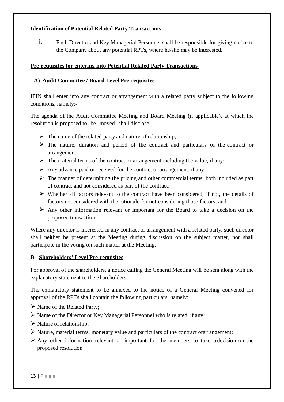#### **Identification of Potential Related Party Transactions**

i. Each Director and Key Managerial Personnel shall be responsible for giving notice to the Company about any potential RPTs, where he/she may be interested.

## **Pre-requisites for entering into Potential Related Party Transactions**

#### **A) Audit Committee / Board Level Pre-requisites**

IFIN shall enter into any contract or arrangement with a related party subject to the following conditions, namely:-

The agenda of the Audit Committee Meeting and Board Meeting (if applicable), at which the resolution is proposed to be moved shall disclose-

- $\triangleright$  The name of the related party and nature of relationship;
- $\triangleright$  The nature, duration and period of the contract and particulars of the contract or arrangement;
- $\triangleright$  The material terms of the contract or arrangement including the value, if any:
- $\triangleright$  Any advance paid or received for the contract or arrangement, if any;
- $\triangleright$  The manner of determining the pricing and other commercial terms, both included as part of contract and not considered as part of the contract;
- $\triangleright$  Whether all factors relevant to the contract have been considered, if not, the details of factors not considered with the rationale for not considering those factors; and
- $\triangleright$  Any other information relevant or important for the Board to take a decision on the proposed transaction.

Where any director is interested in any contract or arrangement with a related party, such director shall neither be present at the Meeting during discussion on the subject matter, nor shall participate in the voting on such matter at the Meeting.

#### **B. Shareholders' Level Pre-requisites**

For approval of the shareholders, a notice calling the General Meeting will be sent along with the explanatory statement to the Shareholders.

The explanatory statement to be annexed to the notice of a General Meeting convened for approval of the RPTs shall contain the following particulars, namely:

- $\triangleright$  Name of the Related Party;
- $\triangleright$  Name of the Director or Key Managerial Personnel who is related, if any;
- $\triangleright$  Nature of relationship;
- $\triangleright$  Nature, material terms, monetary value and particulars of the contract orarrangement;
- $\triangleright$  Any other information relevant or important for the members to take a decision on the proposed resolution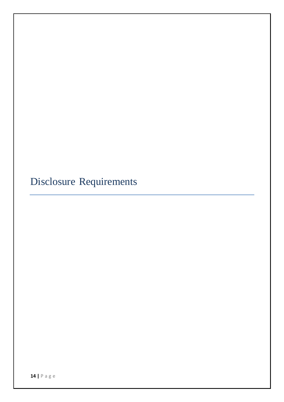Disclosure Requirements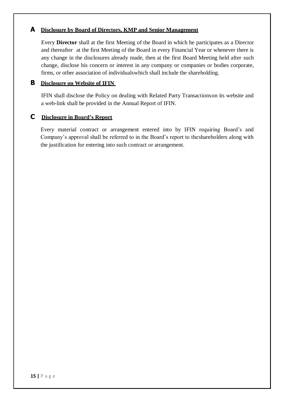## **A Disclosure by Board of Directors, KMP and Senior Management**

Every **Director** shall at the first Meeting of the Board in which he participates as a Director and thereafter at the first Meeting of the Board in every Financial Year or whenever there is any change in the disclosures already made, then at the first Board Meeting held after such change, disclose his concern or interest in any company or companies or bodies corporate, firms, or other association of individualswhich shall include the shareholding.

## **B Disclosure on Website of IFIN**

IFIN shall disclose the Policy on dealing with Related Party Transactionson its website and a web-link shall be provided in the Annual Report of IFIN.

#### **C Disclosure in Board's Report**

Every material contract or arrangement entered into by IFIN requiring Board's and Company's approval shall be referred to in the Board's report to theshareholders along with the justification for entering into such contract or arrangement.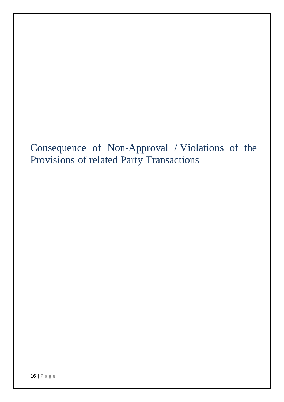# Consequence of Non-Approval / Violations of the Provisions of related Party Transactions